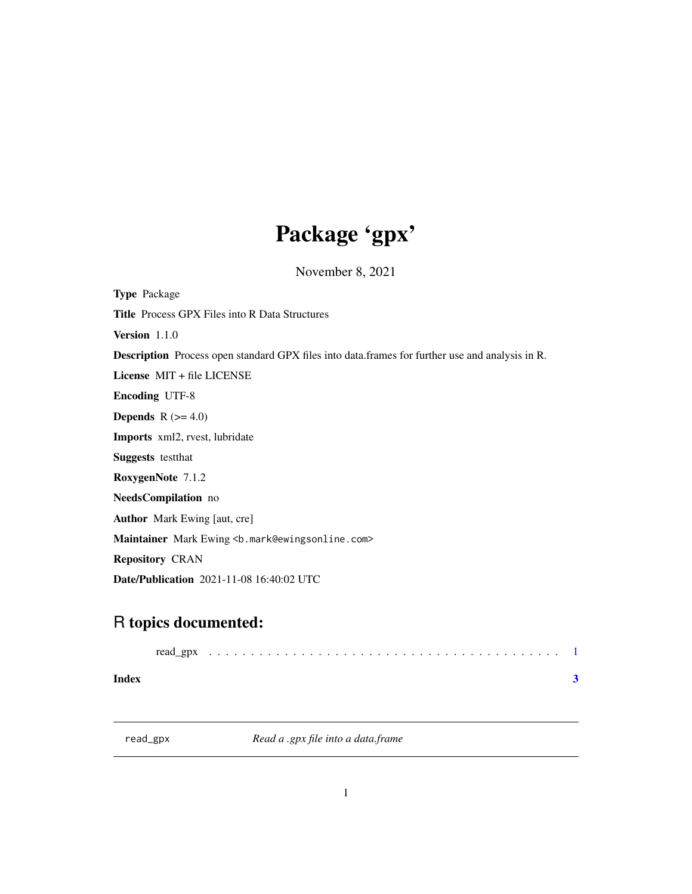## Package 'gpx'

November 8, 2021

<span id="page-0-0"></span>

| <b>Type Package</b>                                                                                    |
|--------------------------------------------------------------------------------------------------------|
| <b>Title</b> Process GPX Files into R Data Structures                                                  |
| <b>Version</b> 1.1.0                                                                                   |
| <b>Description</b> Process open standard GPX files into data.frames for further use and analysis in R. |
| License $MIT + file LICENSE$                                                                           |
| <b>Encoding UTF-8</b>                                                                                  |
| <b>Depends</b> $R (= 4.0)$                                                                             |
| <b>Imports</b> xml2, rvest, lubridate                                                                  |
| <b>Suggests</b> test that                                                                              |
| RoxygenNote 7.1.2                                                                                      |
| NeedsCompilation no                                                                                    |
| <b>Author</b> Mark Ewing [aut, cre]                                                                    |
| Maintainer Mark Ewing <b. mark@ewingsonline.com=""></b.>                                               |
| <b>Repository CRAN</b>                                                                                 |
| <b>Date/Publication</b> 2021-11-08 16:40:02 UTC                                                        |
|                                                                                                        |

### R topics documented:

**Index** [3](#page-2-0)

read\_gpx *Read a .gpx file into a data.frame*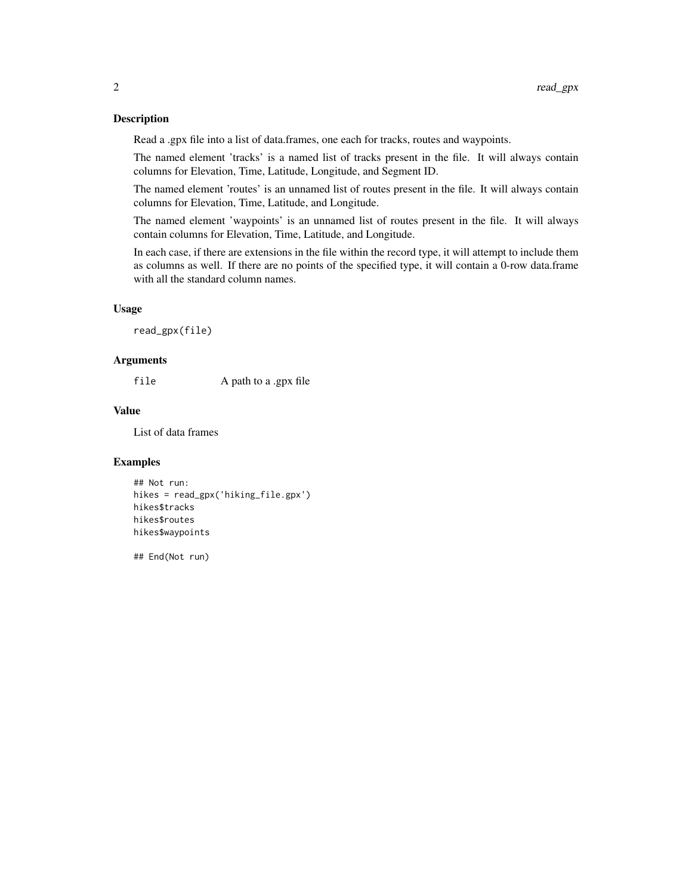#### Description

Read a .gpx file into a list of data.frames, one each for tracks, routes and waypoints.

The named element 'tracks' is a named list of tracks present in the file. It will always contain columns for Elevation, Time, Latitude, Longitude, and Segment ID.

The named element 'routes' is an unnamed list of routes present in the file. It will always contain columns for Elevation, Time, Latitude, and Longitude.

The named element 'waypoints' is an unnamed list of routes present in the file. It will always contain columns for Elevation, Time, Latitude, and Longitude.

In each case, if there are extensions in the file within the record type, it will attempt to include them as columns as well. If there are no points of the specified type, it will contain a 0-row data.frame with all the standard column names.

#### Usage

```
read_gpx(file)
```
#### Arguments

file A path to a .gpx file

#### Value

List of data frames

#### Examples

```
## Not run:
hikes = read_gpx('hiking_file.gpx')
hikes$tracks
hikes$routes
hikes$waypoints
```
## End(Not run)